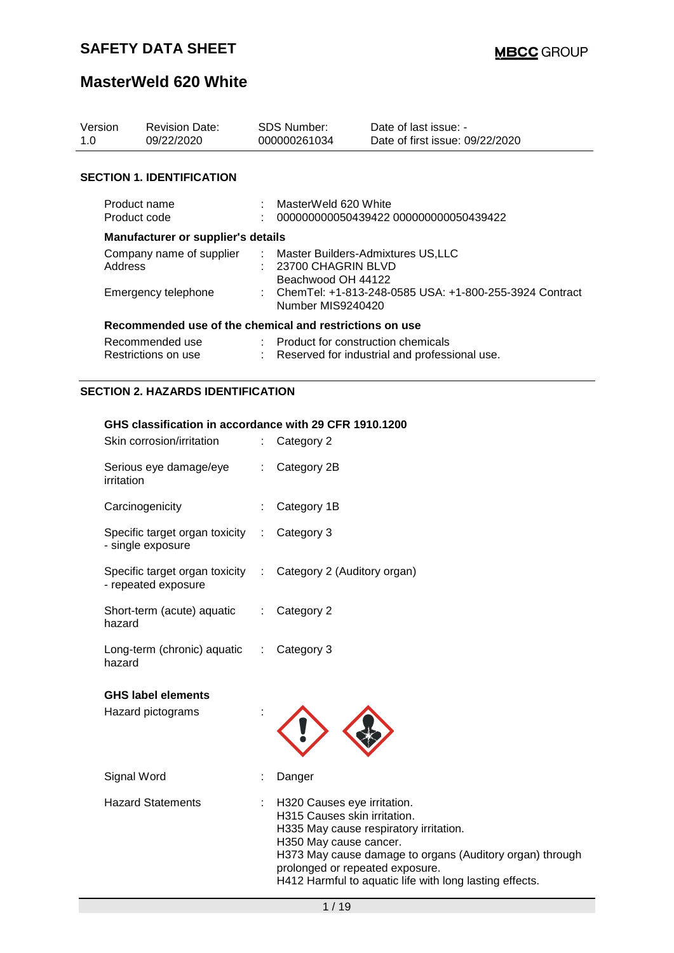# **MasterWeld 620 White**

| Version<br>1.0                         | <b>Revision Date:</b><br>09/22/2020                     |  | <b>SDS Number:</b><br>000000261034                                                    | Date of last issue: -<br>Date of first issue: 09/22/2020 |  |
|----------------------------------------|---------------------------------------------------------|--|---------------------------------------------------------------------------------------|----------------------------------------------------------|--|
|                                        | <b>SECTION 1. IDENTIFICATION</b>                        |  |                                                                                       |                                                          |  |
| Product name<br>Product code           |                                                         |  | : MasterWeld 620 White                                                                | 000000000050439422 000000000050439422                    |  |
|                                        | Manufacturer or supplier's details                      |  |                                                                                       |                                                          |  |
| Company name of supplier<br>Address    |                                                         |  | : Master Builders-Admixtures US,LLC<br>: 23700 CHAGRIN BLVD<br>Beachwood OH 44122     |                                                          |  |
| Emergency telephone                    |                                                         |  | : ChemTel: +1-813-248-0585 USA: +1-800-255-3924 Contract<br>Number MIS9240420         |                                                          |  |
|                                        | Recommended use of the chemical and restrictions on use |  |                                                                                       |                                                          |  |
| Recommended use<br>Restrictions on use |                                                         |  | : Product for construction chemicals<br>Reserved for industrial and professional use. |                                                          |  |

# **SECTION 2. HAZARDS IDENTIFICATION**

#### **GHS classification in accordance with 29 CFR 1910.1200**

| Skin corrosion/irritation                                                           |                               | Category 2                                                                                                                                                                                                                                                                                |
|-------------------------------------------------------------------------------------|-------------------------------|-------------------------------------------------------------------------------------------------------------------------------------------------------------------------------------------------------------------------------------------------------------------------------------------|
| Serious eye damage/eye<br>irritation                                                |                               | Category 2B                                                                                                                                                                                                                                                                               |
| Carcinogenicity                                                                     |                               | Category 1B                                                                                                                                                                                                                                                                               |
| Specific target organ toxicity<br>- single exposure                                 | ÷                             | Category 3                                                                                                                                                                                                                                                                                |
| Specific target organ toxicity : Category 2 (Auditory organ)<br>- repeated exposure |                               |                                                                                                                                                                                                                                                                                           |
| Short-term (acute) aquatic<br>hazard                                                | $\mathbb{Z}^{\mathbb{Z}}$     | Category 2                                                                                                                                                                                                                                                                                |
| Long-term (chronic) aquatic<br>hazard                                               | $\mathcal{L}^{\mathcal{L}}$ . | Category 3                                                                                                                                                                                                                                                                                |
| <b>GHS label elements</b><br>Hazard pictograms                                      |                               |                                                                                                                                                                                                                                                                                           |
| Signal Word                                                                         |                               | Danger                                                                                                                                                                                                                                                                                    |
| <b>Hazard Statements</b>                                                            |                               | H320 Causes eye irritation.<br>H315 Causes skin irritation.<br>H335 May cause respiratory irritation.<br>H350 May cause cancer.<br>H373 May cause damage to organs (Auditory organ) through<br>prolonged or repeated exposure.<br>H412 Harmful to aquatic life with long lasting effects. |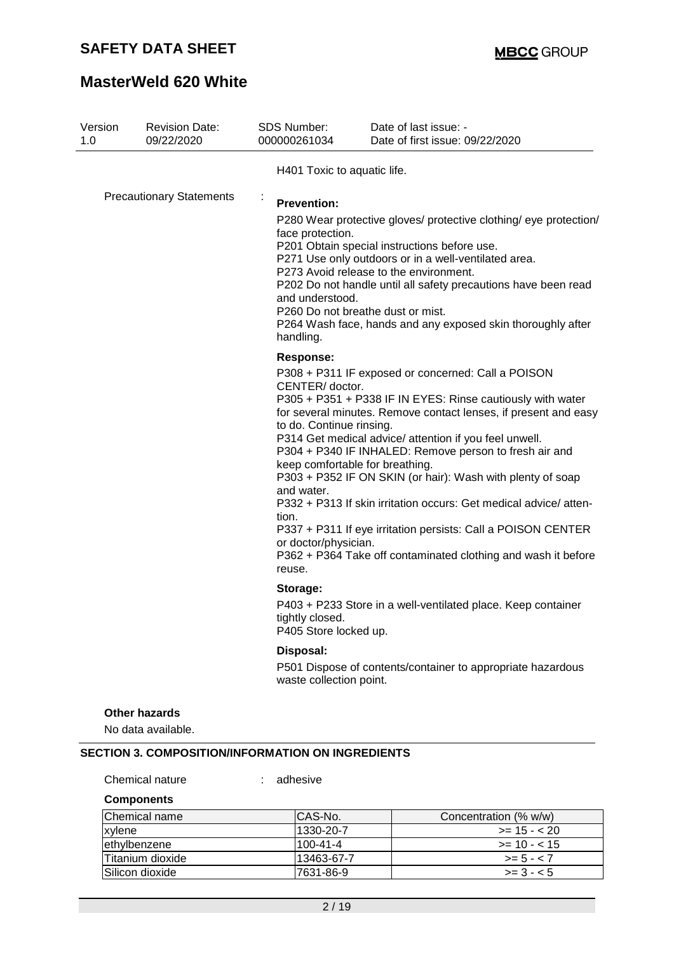# **MasterWeld 620 White**

| Version                         | <b>Revision Date:</b><br>09/22/2020        | SDS Number:<br>000000261034                                                                                              | Date of last issue: -<br>Date of first issue: 09/22/2020                                                                                                                                                                                                                                                                                                                                                                                                                                                                                                                                                      |
|---------------------------------|--------------------------------------------|--------------------------------------------------------------------------------------------------------------------------|---------------------------------------------------------------------------------------------------------------------------------------------------------------------------------------------------------------------------------------------------------------------------------------------------------------------------------------------------------------------------------------------------------------------------------------------------------------------------------------------------------------------------------------------------------------------------------------------------------------|
|                                 |                                            | H401 Toxic to aquatic life.                                                                                              |                                                                                                                                                                                                                                                                                                                                                                                                                                                                                                                                                                                                               |
| <b>Precautionary Statements</b> |                                            | <b>Prevention:</b><br>face protection.<br>and understood.<br>handling.                                                   | P280 Wear protective gloves/ protective clothing/ eye protection/<br>P201 Obtain special instructions before use.<br>P271 Use only outdoors or in a well-ventilated area.<br>P273 Avoid release to the environment.<br>P202 Do not handle until all safety precautions have been read<br>P260 Do not breathe dust or mist.<br>P264 Wash face, hands and any exposed skin thoroughly after                                                                                                                                                                                                                     |
|                                 |                                            | <b>Response:</b><br>CENTER/ doctor.<br>to do. Continue rinsing.<br>and water.<br>tion.<br>or doctor/physician.<br>reuse. | P308 + P311 IF exposed or concerned: Call a POISON<br>P305 + P351 + P338 IF IN EYES: Rinse cautiously with water<br>for several minutes. Remove contact lenses, if present and easy<br>P314 Get medical advice/ attention if you feel unwell.<br>P304 + P340 IF INHALED: Remove person to fresh air and<br>keep comfortable for breathing.<br>P303 + P352 IF ON SKIN (or hair): Wash with plenty of soap<br>P332 + P313 If skin irritation occurs: Get medical advice/atten-<br>P337 + P311 If eye irritation persists: Call a POISON CENTER<br>P362 + P364 Take off contaminated clothing and wash it before |
|                                 |                                            | Storage:<br>tightly closed.<br>P405 Store locked up.                                                                     | P403 + P233 Store in a well-ventilated place. Keep container                                                                                                                                                                                                                                                                                                                                                                                                                                                                                                                                                  |
|                                 |                                            | Disposal:<br>waste collection point.                                                                                     | P501 Dispose of contents/container to appropriate hazardous                                                                                                                                                                                                                                                                                                                                                                                                                                                                                                                                                   |
|                                 | <b>Other hazards</b><br>No data available. |                                                                                                                          |                                                                                                                                                                                                                                                                                                                                                                                                                                                                                                                                                                                                               |

### **Components**

| <b>Chemical name</b> | ICAS-No.       | Concentration (% w/w) |
|----------------------|----------------|-----------------------|
| xylene               | l1330-20-7     | $>= 15 - 20$          |
| ethylbenzene         | $100 - 41 - 4$ | $\ge$ 10 - < 15       |
| Titanium dioxide     | l13463-67-7    | $>= 5 - < 7$          |
| Silicon dioxide      | 17631-86-9     | $>= 3 - 5$            |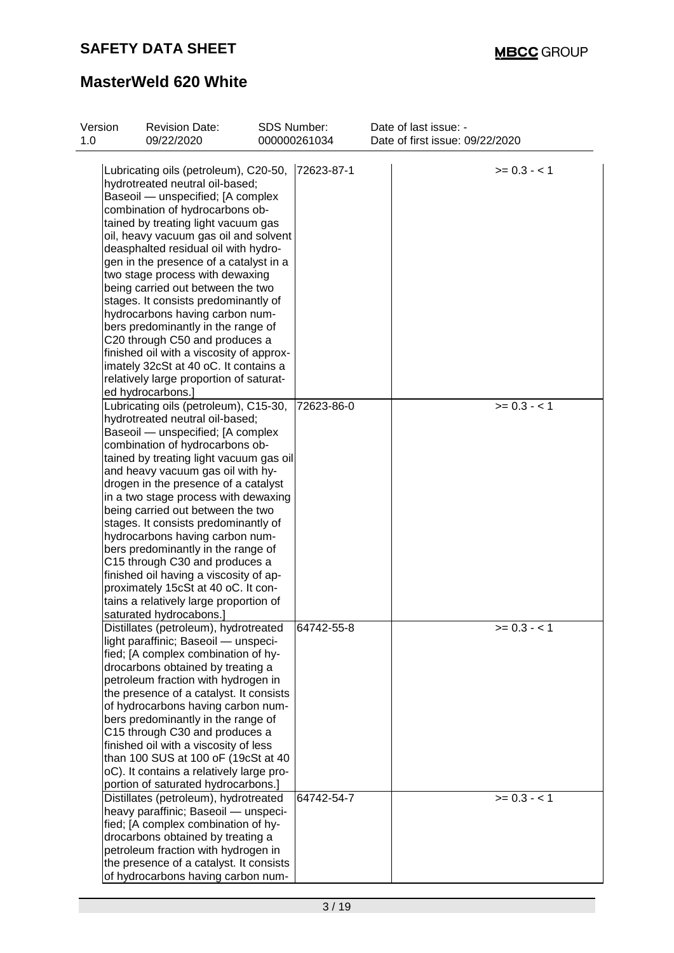| Version<br>1.0 | <b>Revision Date:</b><br>09/22/2020                                           | <b>SDS Number:</b><br>000000261034 | Date of last issue: -<br>Date of first issue: 09/22/2020 |              |
|----------------|-------------------------------------------------------------------------------|------------------------------------|----------------------------------------------------------|--------------|
|                | Lubricating oils (petroleum), C20-50,                                         | 72623-87-1                         |                                                          | $>= 0.3 - 1$ |
|                | hydrotreated neutral oil-based;                                               |                                    |                                                          |              |
|                | Baseoil - unspecified; [A complex                                             |                                    |                                                          |              |
|                | combination of hydrocarbons ob-                                               |                                    |                                                          |              |
|                | tained by treating light vacuum gas                                           |                                    |                                                          |              |
|                | oil, heavy vacuum gas oil and solvent<br>deasphalted residual oil with hydro- |                                    |                                                          |              |
|                | gen in the presence of a catalyst in a                                        |                                    |                                                          |              |
|                | two stage process with dewaxing                                               |                                    |                                                          |              |
|                | being carried out between the two                                             |                                    |                                                          |              |
|                | stages. It consists predominantly of                                          |                                    |                                                          |              |
|                | hydrocarbons having carbon num-                                               |                                    |                                                          |              |
|                | bers predominantly in the range of                                            |                                    |                                                          |              |
|                | C20 through C50 and produces a                                                |                                    |                                                          |              |
|                | finished oil with a viscosity of approx-                                      |                                    |                                                          |              |
|                | imately 32cSt at 40 oC. It contains a                                         |                                    |                                                          |              |
|                | relatively large proportion of saturat-                                       |                                    |                                                          |              |
|                | ed hydrocarbons.]                                                             |                                    |                                                          |              |
|                | Lubricating oils (petroleum), C15-30,                                         | 72623-86-0                         |                                                          | $>= 0.3 - 1$ |
|                | hydrotreated neutral oil-based;                                               |                                    |                                                          |              |
|                | Baseoil - unspecified; [A complex                                             |                                    |                                                          |              |
|                | combination of hydrocarbons ob-                                               |                                    |                                                          |              |
|                | tained by treating light vacuum gas oil                                       |                                    |                                                          |              |
|                | and heavy vacuum gas oil with hy-                                             |                                    |                                                          |              |
|                | drogen in the presence of a catalyst                                          |                                    |                                                          |              |
|                | in a two stage process with dewaxing                                          |                                    |                                                          |              |
|                | being carried out between the two                                             |                                    |                                                          |              |
|                | stages. It consists predominantly of                                          |                                    |                                                          |              |
|                | hydrocarbons having carbon num-                                               |                                    |                                                          |              |
|                | bers predominantly in the range of                                            |                                    |                                                          |              |
|                | C15 through C30 and produces a                                                |                                    |                                                          |              |
|                | finished oil having a viscosity of ap-                                        |                                    |                                                          |              |
|                | proximately 15cSt at 40 oC. It con-                                           |                                    |                                                          |              |
|                | tains a relatively large proportion of                                        |                                    |                                                          |              |
|                | saturated hydrocabons.]                                                       |                                    |                                                          |              |
|                | Distillates (petroleum), hydrotreated                                         | 64742-55-8                         |                                                          | $>= 0.3 - 1$ |
|                | light paraffinic; Baseoil - unspeci-                                          |                                    |                                                          |              |
|                | fied; [A complex combination of hy-                                           |                                    |                                                          |              |
|                | drocarbons obtained by treating a                                             |                                    |                                                          |              |
|                | petroleum fraction with hydrogen in                                           |                                    |                                                          |              |
|                | the presence of a catalyst. It consists                                       |                                    |                                                          |              |
|                | of hydrocarbons having carbon num-                                            |                                    |                                                          |              |
|                | bers predominantly in the range of                                            |                                    |                                                          |              |
|                | C15 through C30 and produces a                                                |                                    |                                                          |              |
|                | finished oil with a viscosity of less                                         |                                    |                                                          |              |
|                | than 100 SUS at 100 oF (19cSt at 40                                           |                                    |                                                          |              |
|                | oC). It contains a relatively large pro-                                      |                                    |                                                          |              |
|                | portion of saturated hydrocarbons.]                                           |                                    |                                                          |              |
|                | Distillates (petroleum), hydrotreated                                         | 64742-54-7                         |                                                          | $>= 0.3 - 1$ |
|                | heavy paraffinic; Baseoil - unspeci-                                          |                                    |                                                          |              |
|                | fied; [A complex combination of hy-                                           |                                    |                                                          |              |
|                | drocarbons obtained by treating a                                             |                                    |                                                          |              |
|                | petroleum fraction with hydrogen in                                           |                                    |                                                          |              |
|                | the presence of a catalyst. It consists                                       |                                    |                                                          |              |
|                | of hydrocarbons having carbon num-                                            |                                    |                                                          |              |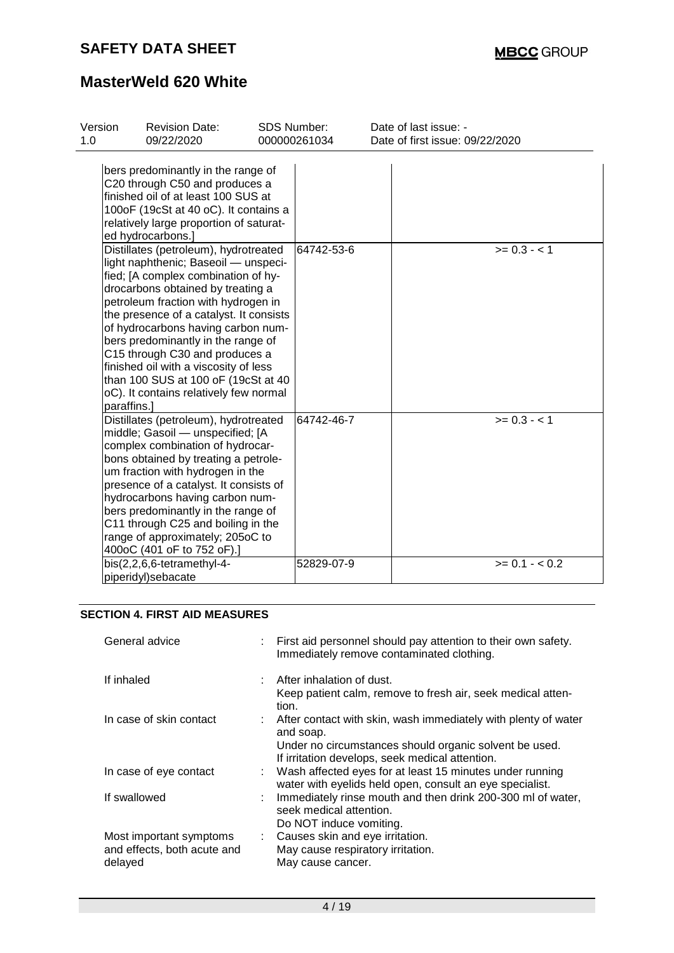| Version<br>1.0 | <b>Revision Date:</b><br>09/22/2020                                                                                                                                                                                                                                                                                                                                                                                                                                                 | <b>SDS Number:</b> | 000000261034 | Date of last issue: -<br>Date of first issue: 09/22/2020 |
|----------------|-------------------------------------------------------------------------------------------------------------------------------------------------------------------------------------------------------------------------------------------------------------------------------------------------------------------------------------------------------------------------------------------------------------------------------------------------------------------------------------|--------------------|--------------|----------------------------------------------------------|
|                | bers predominantly in the range of<br>C20 through C50 and produces a<br>finished oil of at least 100 SUS at<br>100oF (19cSt at 40 oC). It contains a<br>relatively large proportion of saturat-<br>ed hydrocarbons.]                                                                                                                                                                                                                                                                |                    |              |                                                          |
| paraffins.]    | Distillates (petroleum), hydrotreated<br>light naphthenic; Baseoil - unspeci-<br>fied; [A complex combination of hy-<br>drocarbons obtained by treating a<br>petroleum fraction with hydrogen in<br>the presence of a catalyst. It consists<br>of hydrocarbons having carbon num-<br>bers predominantly in the range of<br>C15 through C30 and produces a<br>finished oil with a viscosity of less<br>than 100 SUS at 100 oF (19cSt at 40<br>oC). It contains relatively few normal |                    | 64742-53-6   | $>= 0.3 - 1$                                             |
|                | Distillates (petroleum), hydrotreated<br>middle; Gasoil - unspecified; [A<br>complex combination of hydrocar-<br>bons obtained by treating a petrole-<br>um fraction with hydrogen in the<br>presence of a catalyst. It consists of<br>hydrocarbons having carbon num-<br>bers predominantly in the range of<br>C11 through C25 and boiling in the<br>range of approximately; 205oC to<br>400oC (401 oF to 752 oF).]                                                                |                    | 64742-46-7   | $>= 0.3 - 1$                                             |
|                | bis(2,2,6,6-tetramethyl-4-<br>piperidyl)sebacate                                                                                                                                                                                                                                                                                                                                                                                                                                    |                    | 52829-07-9   | $>= 0.1 - < 0.2$                                         |

### **SECTION 4. FIRST AID MEASURES**

| General advice                                                    | : First aid personnel should pay attention to their own safety.<br>Immediately remove contaminated clothing.                                                                               |
|-------------------------------------------------------------------|--------------------------------------------------------------------------------------------------------------------------------------------------------------------------------------------|
| If inhaled                                                        | : After inhalation of dust.<br>Keep patient calm, remove to fresh air, seek medical atten-<br>tion.                                                                                        |
| In case of skin contact                                           | : After contact with skin, wash immediately with plenty of water<br>and soap.<br>Under no circumstances should organic solvent be used.<br>If irritation develops, seek medical attention. |
| In case of eye contact                                            | : Wash affected eyes for at least 15 minutes under running<br>water with eyelids held open, consult an eye specialist.                                                                     |
| If swallowed                                                      | Immediately rinse mouth and then drink 200-300 ml of water,<br>seek medical attention.<br>Do NOT induce vomiting.                                                                          |
| Most important symptoms<br>and effects, both acute and<br>delayed | : Causes skin and eye irritation.<br>May cause respiratory irritation.<br>May cause cancer.                                                                                                |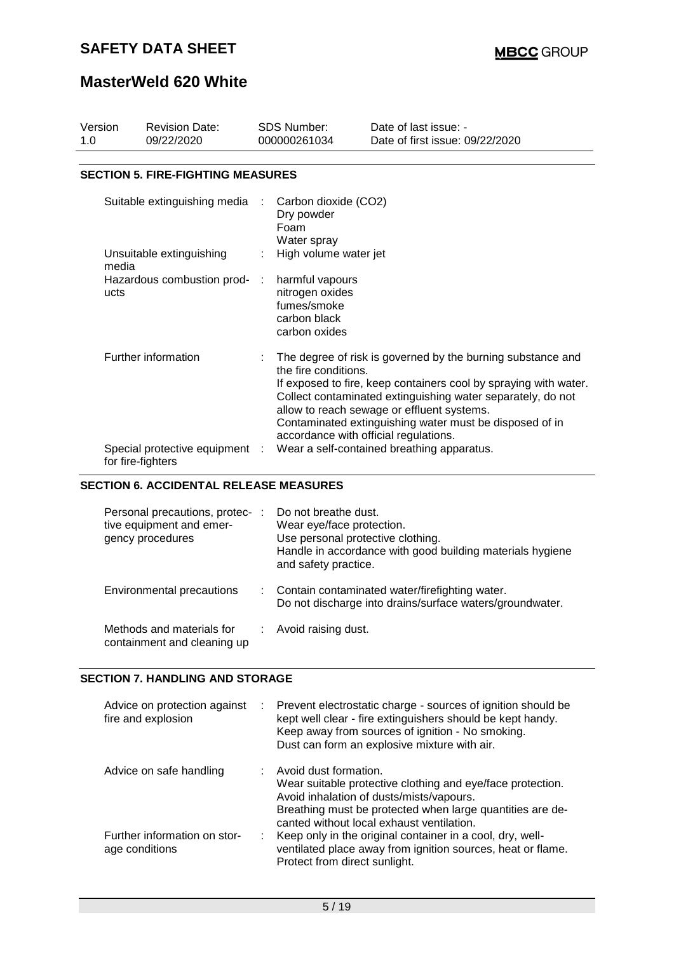# **MasterWeld 620 White**

| Version<br>1.0      |                                               | <b>Revision Date:</b><br>09/22/2020                                             | <b>SDS Number:</b><br>000000261034 |                                                                                                                | Date of last issue: -<br>Date of first issue: 09/22/2020                                                                                                                                                                                                                                                |  |  |  |  |  |
|---------------------|-----------------------------------------------|---------------------------------------------------------------------------------|------------------------------------|----------------------------------------------------------------------------------------------------------------|---------------------------------------------------------------------------------------------------------------------------------------------------------------------------------------------------------------------------------------------------------------------------------------------------------|--|--|--|--|--|
|                     |                                               |                                                                                 |                                    |                                                                                                                |                                                                                                                                                                                                                                                                                                         |  |  |  |  |  |
|                     | <b>SECTION 5. FIRE-FIGHTING MEASURES</b>      |                                                                                 |                                    |                                                                                                                |                                                                                                                                                                                                                                                                                                         |  |  |  |  |  |
|                     |                                               | Suitable extinguishing media                                                    |                                    | Carbon dioxide (CO2)<br>Dry powder<br>Foam<br>Water spray                                                      |                                                                                                                                                                                                                                                                                                         |  |  |  |  |  |
|                     | media                                         | Unsuitable extinguishing                                                        |                                    | High volume water jet                                                                                          |                                                                                                                                                                                                                                                                                                         |  |  |  |  |  |
|                     | ucts                                          | Hazardous combustion prod-                                                      | ÷                                  | harmful vapours<br>nitrogen oxides<br>fumes/smoke<br>carbon black<br>carbon oxides                             |                                                                                                                                                                                                                                                                                                         |  |  |  |  |  |
| Further information |                                               |                                                                                 |                                    | the fire conditions.<br>accordance with official regulations.                                                  | The degree of risk is governed by the burning substance and<br>If exposed to fire, keep containers cool by spraying with water.<br>Collect contaminated extinguishing water separately, do not<br>allow to reach sewage or effluent systems.<br>Contaminated extinguishing water must be disposed of in |  |  |  |  |  |
|                     |                                               | Special protective equipment :<br>for fire-fighters                             |                                    |                                                                                                                | Wear a self-contained breathing apparatus.                                                                                                                                                                                                                                                              |  |  |  |  |  |
|                     | <b>SECTION 6. ACCIDENTAL RELEASE MEASURES</b> |                                                                                 |                                    |                                                                                                                |                                                                                                                                                                                                                                                                                                         |  |  |  |  |  |
|                     |                                               | Personal precautions, protec- :<br>tive equipment and emer-<br>gency procedures |                                    | Do not breathe dust.<br>Wear eye/face protection.<br>Use personal protective clothing.<br>and safety practice. | Handle in accordance with good building materials hygiene                                                                                                                                                                                                                                               |  |  |  |  |  |

| Environmental precautions | : Contain contaminated water/firefighting water.         |
|---------------------------|----------------------------------------------------------|
|                           | Do not discharge into drains/surface waters/groundwater. |

Methods and materials for containment and cleaning up : Avoid raising dust.

#### **SECTION 7. HANDLING AND STORAGE**

| Advice on protection against<br>÷.<br>fire and explosion | Prevent electrostatic charge - sources of ignition should be<br>kept well clear - fire extinguishers should be kept handy.<br>Keep away from sources of ignition - No smoking.<br>Dust can form an explosive mixture with air.            |
|----------------------------------------------------------|-------------------------------------------------------------------------------------------------------------------------------------------------------------------------------------------------------------------------------------------|
| Advice on safe handling                                  | Avoid dust formation.<br>Wear suitable protective clothing and eye/face protection.<br>Avoid inhalation of dusts/mists/vapours.<br>Breathing must be protected when large quantities are de-<br>canted without local exhaust ventilation. |
| Further information on stor-<br>age conditions           | Keep only in the original container in a cool, dry, well-<br>ventilated place away from ignition sources, heat or flame.<br>Protect from direct sunlight.                                                                                 |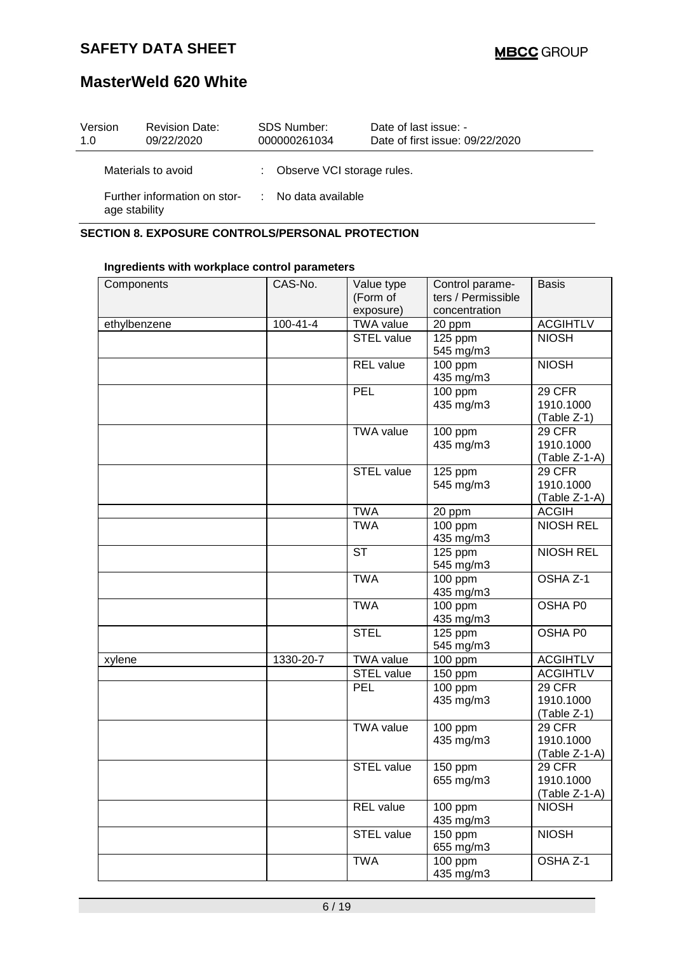### **MasterWeld 620 White**

| Version<br>1.0                                | <b>Revision Date:</b><br>09/22/2020 | <b>SDS Number:</b><br>000000261034 | Date of last issue: -<br>Date of first issue: 09/22/2020 |
|-----------------------------------------------|-------------------------------------|------------------------------------|----------------------------------------------------------|
|                                               | Materials to avoid                  | : Observe VCI storage rules.       |                                                          |
| Further information on stor-<br>age stability |                                     | : No data available                |                                                          |

#### **SECTION 8. EXPOSURE CONTROLS/PERSONAL PROTECTION**

### **Ingredients with workplace control parameters**

| Components   | CAS-No.        | Value type<br>(Form of<br>exposure) | Control parame-<br>ters / Permissible<br>concentration | <b>Basis</b>                                  |
|--------------|----------------|-------------------------------------|--------------------------------------------------------|-----------------------------------------------|
| ethylbenzene | $100 - 41 - 4$ | <b>TWA value</b>                    | 20 ppm                                                 | <b>ACGIHTLV</b>                               |
|              |                | <b>STEL value</b>                   | 125 ppm<br>545 mg/m3                                   | <b>NIOSH</b>                                  |
|              |                | <b>REL</b> value                    | 100 ppm<br>435 mg/m3                                   | <b>NIOSH</b>                                  |
|              |                | <b>PEL</b>                          | 100 ppm<br>435 mg/m3                                   | 29 CFR<br>1910.1000<br>(Table Z-1)            |
|              |                | <b>TWA value</b>                    | 100 ppm<br>435 mg/m3                                   | 29 CFR<br>1910.1000<br>$(Table Z-1-A)$        |
|              |                | <b>STEL value</b>                   | 125 ppm<br>545 mg/m3                                   | <b>29 CFR</b><br>1910.1000<br>$(Table Z-1-A)$ |
|              |                | <b>TWA</b>                          | 20 ppm                                                 | <b>ACGIH</b>                                  |
|              |                | <b>TWA</b>                          | $\overline{100}$ ppm<br>435 mg/m3                      | <b>NIOSH REL</b>                              |
|              |                | <b>ST</b>                           | $\overline{1}$ 25 ppm<br>545 mg/m3                     | <b>NIOSH REL</b>                              |
|              |                | <b>TWA</b>                          | 100 ppm<br>435 mg/m3                                   | OSHA Z-1                                      |
|              |                | <b>TWA</b>                          | 100 ppm<br>435 mg/m3                                   | OSHA P0                                       |
|              |                | <b>STEL</b>                         | 125 ppm<br>545 mg/m3                                   | OSHA P0                                       |
| xylene       | 1330-20-7      | <b>TWA value</b>                    | 100 ppm                                                | <b>ACGIHTLV</b>                               |
|              |                | STEL value                          | 150 ppm                                                | <b>ACGIHTLV</b>                               |
|              |                | <b>PEL</b>                          | 100 ppm<br>435 mg/m3                                   | 29 CFR<br>1910.1000<br>$(Table Z-1)$          |
|              |                | <b>TWA value</b>                    | 100 ppm<br>435 mg/m3                                   | 29 CFR<br>1910.1000<br>$(Table Z-1-A)$        |
|              |                | <b>STEL value</b>                   | 150 ppm<br>655 mg/m3                                   | 29 CFR<br>1910.1000<br>(Table Z-1-A)          |
|              |                | <b>REL</b> value                    | 100 ppm<br>435 mg/m3                                   | <b>NIOSH</b>                                  |
|              |                | <b>STEL value</b>                   | 150 ppm<br>655 mg/m3                                   | <b>NIOSH</b>                                  |
|              |                | <b>TWA</b>                          | 100 ppm<br>435 mg/m3                                   | OSHA Z-1                                      |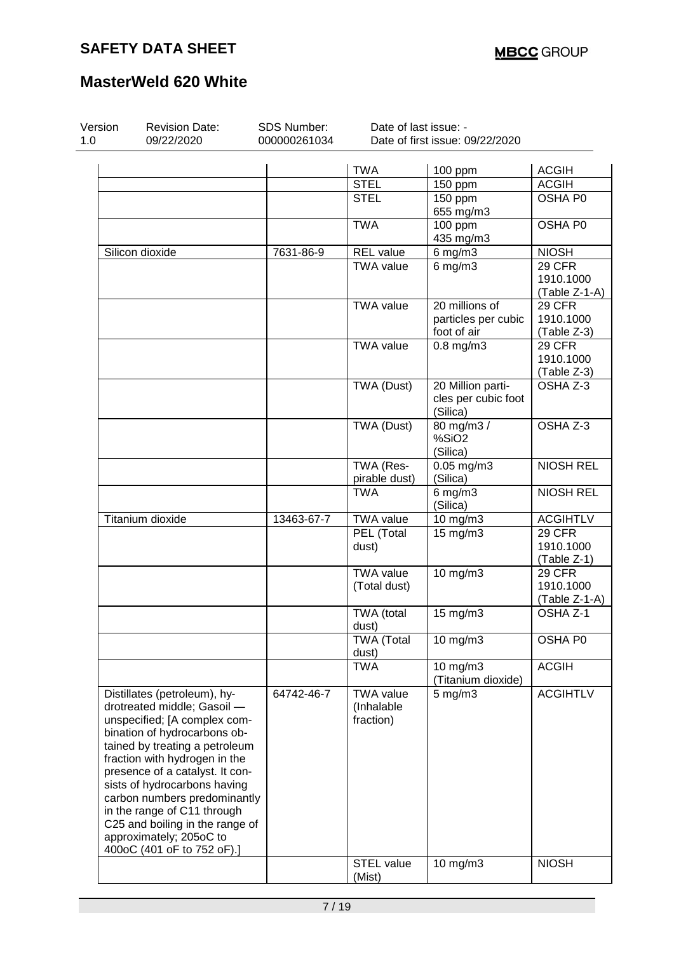| Version<br>1.0 | <b>Revision Date:</b><br>09/22/2020                                                                                                                                                                                                                                                                                                                                                            | SDS Number:<br>000000261034 | Date of last issue: -                       | Date of first issue: 09/22/2020                      |                         |
|----------------|------------------------------------------------------------------------------------------------------------------------------------------------------------------------------------------------------------------------------------------------------------------------------------------------------------------------------------------------------------------------------------------------|-----------------------------|---------------------------------------------|------------------------------------------------------|-------------------------|
|                |                                                                                                                                                                                                                                                                                                                                                                                                |                             |                                             |                                                      |                         |
|                |                                                                                                                                                                                                                                                                                                                                                                                                |                             | <b>TWA</b>                                  | 100 ppm                                              | <b>ACGIH</b>            |
|                |                                                                                                                                                                                                                                                                                                                                                                                                |                             | <b>STEL</b><br><b>STEL</b>                  | 150 ppm                                              | <b>ACGIH</b><br>OSHA P0 |
|                |                                                                                                                                                                                                                                                                                                                                                                                                |                             |                                             | 150 ppm<br>655 mg/m3                                 |                         |
|                |                                                                                                                                                                                                                                                                                                                                                                                                |                             | <b>TWA</b>                                  | 100 ppm<br>435 mg/m3                                 | OSHA P0                 |
|                | Silicon dioxide                                                                                                                                                                                                                                                                                                                                                                                | 7631-86-9                   | <b>REL</b> value                            | $6$ mg/m $3$                                         | <b>NIOSH</b>            |
|                |                                                                                                                                                                                                                                                                                                                                                                                                |                             | <b>TWA value</b>                            | $6$ mg/m $3$                                         | 29 CFR                  |
|                |                                                                                                                                                                                                                                                                                                                                                                                                |                             |                                             |                                                      | 1910.1000               |
|                |                                                                                                                                                                                                                                                                                                                                                                                                |                             |                                             |                                                      | (Table Z-1-A)           |
|                |                                                                                                                                                                                                                                                                                                                                                                                                |                             | <b>TWA value</b>                            | 20 millions of                                       | 29 CFR                  |
|                |                                                                                                                                                                                                                                                                                                                                                                                                |                             |                                             | particles per cubic                                  | 1910.1000               |
|                |                                                                                                                                                                                                                                                                                                                                                                                                |                             |                                             | foot of air                                          | (Table Z-3)             |
|                |                                                                                                                                                                                                                                                                                                                                                                                                |                             | <b>TWA value</b>                            | $0.8$ mg/m $3$                                       | 29 CFR                  |
|                |                                                                                                                                                                                                                                                                                                                                                                                                |                             |                                             |                                                      | 1910.1000               |
|                |                                                                                                                                                                                                                                                                                                                                                                                                |                             |                                             |                                                      | (Table Z-3)             |
|                |                                                                                                                                                                                                                                                                                                                                                                                                |                             | TWA (Dust)                                  | 20 Million parti-<br>cles per cubic foot<br>(Silica) | OSHA Z-3                |
|                |                                                                                                                                                                                                                                                                                                                                                                                                |                             | TWA (Dust)                                  | 80 mg/m3 /<br>%SiO <sub>2</sub><br>(Silica)          | OSHA Z-3                |
|                |                                                                                                                                                                                                                                                                                                                                                                                                |                             | TWA (Res-                                   | $0.05$ mg/m $3$                                      | <b>NIOSH REL</b>        |
|                |                                                                                                                                                                                                                                                                                                                                                                                                |                             | pirable dust)                               | (Silica)                                             |                         |
|                |                                                                                                                                                                                                                                                                                                                                                                                                |                             | <b>TWA</b>                                  | $6$ mg/m $3$<br>(Silica)                             | <b>NIOSH REL</b>        |
|                | Titanium dioxide                                                                                                                                                                                                                                                                                                                                                                               | 13463-67-7                  | <b>TWA value</b>                            | 10 mg/m3                                             | <b>ACGIHTLV</b>         |
|                |                                                                                                                                                                                                                                                                                                                                                                                                |                             | PEL (Total                                  | 15 mg/m3                                             | 29 CFR                  |
|                |                                                                                                                                                                                                                                                                                                                                                                                                |                             | dust)                                       |                                                      | 1910.1000               |
|                |                                                                                                                                                                                                                                                                                                                                                                                                |                             |                                             |                                                      | (Table Z-1)             |
|                |                                                                                                                                                                                                                                                                                                                                                                                                |                             | <b>TWA value</b>                            | 10 mg/m3                                             | 29 CFR                  |
|                |                                                                                                                                                                                                                                                                                                                                                                                                |                             | (Total dust)                                |                                                      | 1910.1000               |
|                |                                                                                                                                                                                                                                                                                                                                                                                                |                             |                                             |                                                      | (Table Z-1-A)           |
|                |                                                                                                                                                                                                                                                                                                                                                                                                |                             | TWA (total                                  | 15 mg/m3                                             | OSHA Z-1                |
|                |                                                                                                                                                                                                                                                                                                                                                                                                |                             | dust)                                       |                                                      |                         |
|                |                                                                                                                                                                                                                                                                                                                                                                                                |                             | <b>TWA (Total</b><br>dust)                  | 10 mg/m3                                             | OSHA P0                 |
|                |                                                                                                                                                                                                                                                                                                                                                                                                |                             | <b>TWA</b>                                  | 10 mg/m3<br>(Titanium dioxide)                       | <b>ACGIH</b>            |
|                | Distillates (petroleum), hy-<br>drotreated middle; Gasoil -<br>unspecified; [A complex com-<br>bination of hydrocarbons ob-<br>tained by treating a petroleum<br>fraction with hydrogen in the<br>presence of a catalyst. It con-<br>sists of hydrocarbons having<br>carbon numbers predominantly<br>in the range of C11 through<br>C25 and boiling in the range of<br>approximately; 205oC to | 64742-46-7                  | <b>TWA value</b><br>(Inhalable<br>fraction) | $5 \text{ mg/m}$                                     | <b>ACGIHTLV</b>         |
|                | 400oC (401 oF to 752 oF).]                                                                                                                                                                                                                                                                                                                                                                     |                             |                                             |                                                      |                         |
|                |                                                                                                                                                                                                                                                                                                                                                                                                |                             | <b>STEL value</b><br>(Mist)                 | 10 mg/m3                                             | <b>NIOSH</b>            |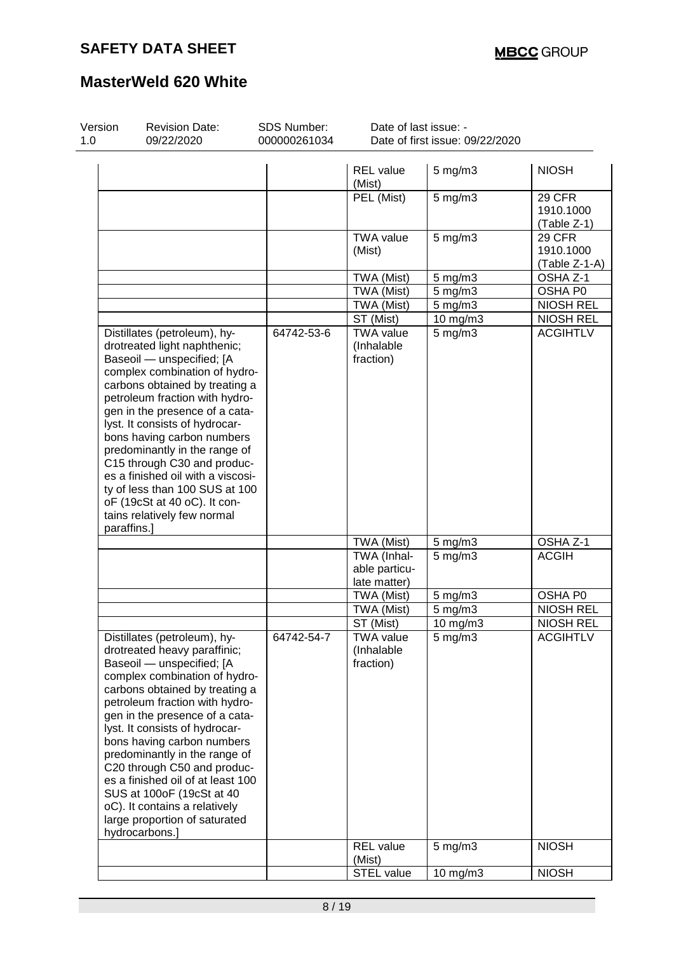| Version<br>1.0 | <b>Revision Date:</b><br>09/22/2020                                                                                                                                                                                                                                                                                                                                                                                                                                                                  | SDS Number:<br>000000261034 | Date of last issue: -                       | Date of first issue: 09/22/2020 |                                      |
|----------------|------------------------------------------------------------------------------------------------------------------------------------------------------------------------------------------------------------------------------------------------------------------------------------------------------------------------------------------------------------------------------------------------------------------------------------------------------------------------------------------------------|-----------------------------|---------------------------------------------|---------------------------------|--------------------------------------|
|                |                                                                                                                                                                                                                                                                                                                                                                                                                                                                                                      |                             | <b>REL</b> value<br>(Mist)                  | $5$ mg/m $3$                    | <b>NIOSH</b>                         |
|                |                                                                                                                                                                                                                                                                                                                                                                                                                                                                                                      |                             | PEL (Mist)                                  | $5$ mg/m $3$                    | 29 CFR<br>1910.1000<br>(Table Z-1)   |
|                |                                                                                                                                                                                                                                                                                                                                                                                                                                                                                                      |                             | <b>TWA value</b><br>(Mist)                  | $5$ mg/m $3$                    | 29 CFR<br>1910.1000<br>(Table Z-1-A) |
|                |                                                                                                                                                                                                                                                                                                                                                                                                                                                                                                      |                             | TWA (Mist)                                  | $5$ mg/m $3$                    | OSHA Z-1                             |
|                |                                                                                                                                                                                                                                                                                                                                                                                                                                                                                                      |                             | TWA (Mist)                                  | 5 mg/m3                         | OSHA P0                              |
|                |                                                                                                                                                                                                                                                                                                                                                                                                                                                                                                      |                             | TWA (Mist)                                  | 5 mg/m3                         | <b>NIOSH REL</b>                     |
|                |                                                                                                                                                                                                                                                                                                                                                                                                                                                                                                      |                             | ST (Mist)                                   | 10 mg/m3                        | <b>NIOSH REL</b>                     |
| paraffins.]    | drotreated light naphthenic;<br>Baseoil - unspecified; [A<br>complex combination of hydro-<br>carbons obtained by treating a<br>petroleum fraction with hydro-<br>gen in the presence of a cata-<br>lyst. It consists of hydrocar-<br>bons having carbon numbers<br>predominantly in the range of<br>C15 through C30 and produc-<br>es a finished oil with a viscosi-<br>ty of less than 100 SUS at 100<br>oF (19cSt at 40 oC). It con-<br>tains relatively few normal                               |                             | (Inhalable<br>fraction)                     |                                 |                                      |
|                |                                                                                                                                                                                                                                                                                                                                                                                                                                                                                                      |                             | TWA (Mist)                                  | $5$ mg/m $3$                    | OSHA Z-1                             |
|                |                                                                                                                                                                                                                                                                                                                                                                                                                                                                                                      |                             | TWA (Inhal-                                 | $5$ mg/m $3$                    | <b>ACGIH</b>                         |
|                |                                                                                                                                                                                                                                                                                                                                                                                                                                                                                                      |                             | able particu-<br>late matter)               |                                 |                                      |
|                |                                                                                                                                                                                                                                                                                                                                                                                                                                                                                                      |                             | TWA (Mist)                                  | $5 \text{ mg/m}$ 3              | OSHA P0                              |
|                |                                                                                                                                                                                                                                                                                                                                                                                                                                                                                                      |                             | TWA (Mist)                                  | $5$ mg/m $3$                    | <b>NIOSH REL</b>                     |
|                |                                                                                                                                                                                                                                                                                                                                                                                                                                                                                                      |                             | ST (Mist)                                   | 10 mg/m3                        | <b>NIOSH REL</b>                     |
|                | Distillates (petroleum), hy-<br>drotreated heavy paraffinic;<br>Baseoil - unspecified; [A<br>complex combination of hydro-<br>carbons obtained by treating a<br>petroleum fraction with hydro-<br>gen in the presence of a cata-<br>lyst. It consists of hydrocar-<br>bons having carbon numbers<br>predominantly in the range of<br>C20 through C50 and produc-<br>es a finished oil of at least 100<br>SUS at 100oF (19cSt at 40<br>oC). It contains a relatively<br>large proportion of saturated | 64742-54-7                  | <b>TWA value</b><br>(Inhalable<br>fraction) | $5 \text{ mg/m}$ 3              | <b>ACGIHTLV</b>                      |
|                | hydrocarbons.]                                                                                                                                                                                                                                                                                                                                                                                                                                                                                       |                             |                                             |                                 |                                      |
|                |                                                                                                                                                                                                                                                                                                                                                                                                                                                                                                      |                             | <b>REL</b> value<br>(Mist)                  | $5 \text{ mg/m}$ 3              | <b>NIOSH</b>                         |
|                |                                                                                                                                                                                                                                                                                                                                                                                                                                                                                                      |                             | STEL value                                  | 10 mg/m3                        | <b>NIOSH</b>                         |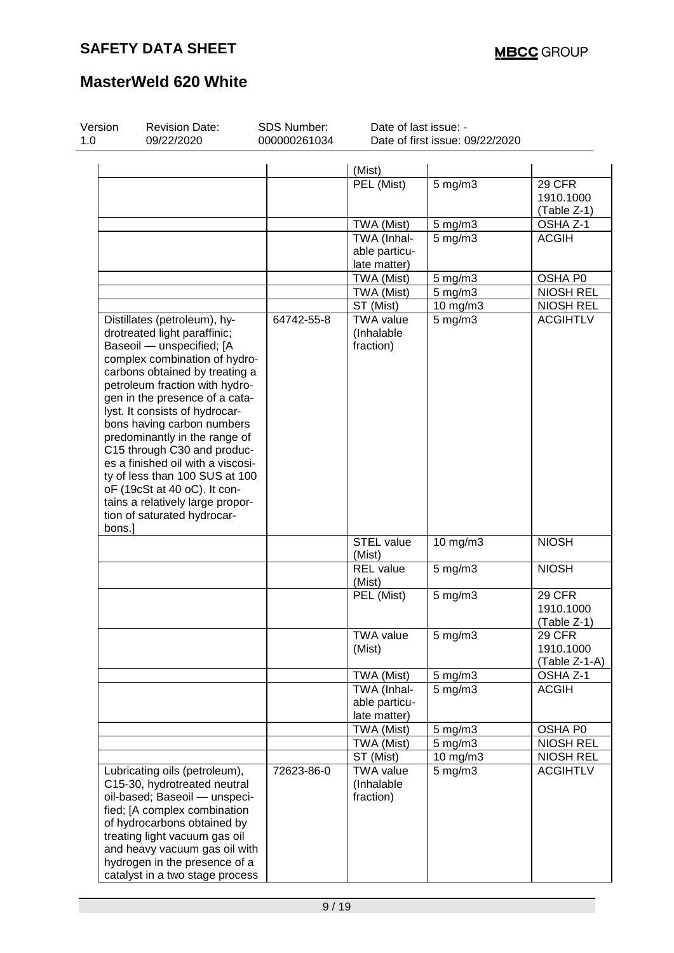| Version<br>1.0 | <b>Revision Date:</b><br>09/22/2020                                                                                                                                                                                                                                                                                                                                                                                                                                                                                                        | SDS Number:<br>000000261034 | Date of last issue: -                        | Date of first issue: 09/22/2020 |                                             |
|----------------|--------------------------------------------------------------------------------------------------------------------------------------------------------------------------------------------------------------------------------------------------------------------------------------------------------------------------------------------------------------------------------------------------------------------------------------------------------------------------------------------------------------------------------------------|-----------------------------|----------------------------------------------|---------------------------------|---------------------------------------------|
|                |                                                                                                                                                                                                                                                                                                                                                                                                                                                                                                                                            |                             |                                              |                                 |                                             |
|                |                                                                                                                                                                                                                                                                                                                                                                                                                                                                                                                                            |                             | (Mist)<br>PEL (Mist)                         | $5$ mg/m $3$                    | 29 CFR<br>1910.1000<br>(Table Z-1)          |
|                |                                                                                                                                                                                                                                                                                                                                                                                                                                                                                                                                            |                             | TWA (Mist)                                   | $5$ mg/m $3$                    | OSHA Z-1                                    |
|                |                                                                                                                                                                                                                                                                                                                                                                                                                                                                                                                                            |                             | TWA (Inhal-<br>able particu-<br>late matter) | $5$ mg/m $3$                    | <b>ACGIH</b>                                |
|                |                                                                                                                                                                                                                                                                                                                                                                                                                                                                                                                                            |                             | TWA (Mist)                                   | $5$ mg/m $3$                    | OSHA P0                                     |
|                |                                                                                                                                                                                                                                                                                                                                                                                                                                                                                                                                            |                             | TWA (Mist)                                   | 5 mg/m3                         | <b>NIOSH REL</b>                            |
|                |                                                                                                                                                                                                                                                                                                                                                                                                                                                                                                                                            |                             | ST (Mist)                                    | 10 mg/m3                        | <b>NIOSH REL</b>                            |
| bons.]         | Distillates (petroleum), hy-<br>drotreated light paraffinic;<br>Baseoil - unspecified; [A<br>complex combination of hydro-<br>carbons obtained by treating a<br>petroleum fraction with hydro-<br>gen in the presence of a cata-<br>lyst. It consists of hydrocar-<br>bons having carbon numbers<br>predominantly in the range of<br>C15 through C30 and produc-<br>es a finished oil with a viscosi-<br>ty of less than 100 SUS at 100<br>oF (19cSt at 40 oC). It con-<br>tains a relatively large propor-<br>tion of saturated hydrocar- | 64742-55-8                  | <b>TWA value</b><br>(Inhalable<br>fraction)  | $5$ mg/m $3$                    | <b>ACGIHTLV</b>                             |
|                |                                                                                                                                                                                                                                                                                                                                                                                                                                                                                                                                            |                             | STEL value<br>(Mist)                         | 10 mg/m3                        | <b>NIOSH</b>                                |
|                |                                                                                                                                                                                                                                                                                                                                                                                                                                                                                                                                            |                             | <b>REL</b> value<br>(Mist)                   | $5$ mg/m $3$                    | <b>NIOSH</b>                                |
|                |                                                                                                                                                                                                                                                                                                                                                                                                                                                                                                                                            |                             | PEL (Mist)                                   | 5 mg/m3                         | <b>29 CFR</b><br>1910.1000<br>(Table Z-1)   |
|                |                                                                                                                                                                                                                                                                                                                                                                                                                                                                                                                                            |                             | <b>TWA value</b><br>(Mist)                   | 5 mg/m3                         | <b>29 CFR</b><br>1910.1000<br>(Table Z-1-A) |
|                |                                                                                                                                                                                                                                                                                                                                                                                                                                                                                                                                            |                             | TWA (Mist)                                   | $5$ mg/m $3$                    | OSHA Z-1                                    |
|                |                                                                                                                                                                                                                                                                                                                                                                                                                                                                                                                                            |                             | TWA (Inhal-<br>able particu-<br>late matter) | $5 \text{ mg/m}$ 3              | <b>ACGIH</b>                                |
|                |                                                                                                                                                                                                                                                                                                                                                                                                                                                                                                                                            |                             | TWA (Mist)                                   | $5 \text{ mg/m}$                | OSHA P0                                     |
|                |                                                                                                                                                                                                                                                                                                                                                                                                                                                                                                                                            |                             | TWA (Mist)                                   | $5$ mg/m $3$                    | <b>NIOSH REL</b>                            |
|                |                                                                                                                                                                                                                                                                                                                                                                                                                                                                                                                                            |                             | ST (Mist)                                    | 10 mg/m3                        | <b>NIOSH REL</b>                            |
|                | Lubricating oils (petroleum),<br>C15-30, hydrotreated neutral<br>oil-based; Baseoil - unspeci-<br>fied; [A complex combination<br>of hydrocarbons obtained by<br>treating light vacuum gas oil<br>and heavy vacuum gas oil with<br>hydrogen in the presence of a<br>catalyst in a two stage process                                                                                                                                                                                                                                        | 72623-86-0                  | <b>TWA value</b><br>(Inhalable<br>fraction)  | $5$ mg/m $3$                    | <b>ACGIHTLV</b>                             |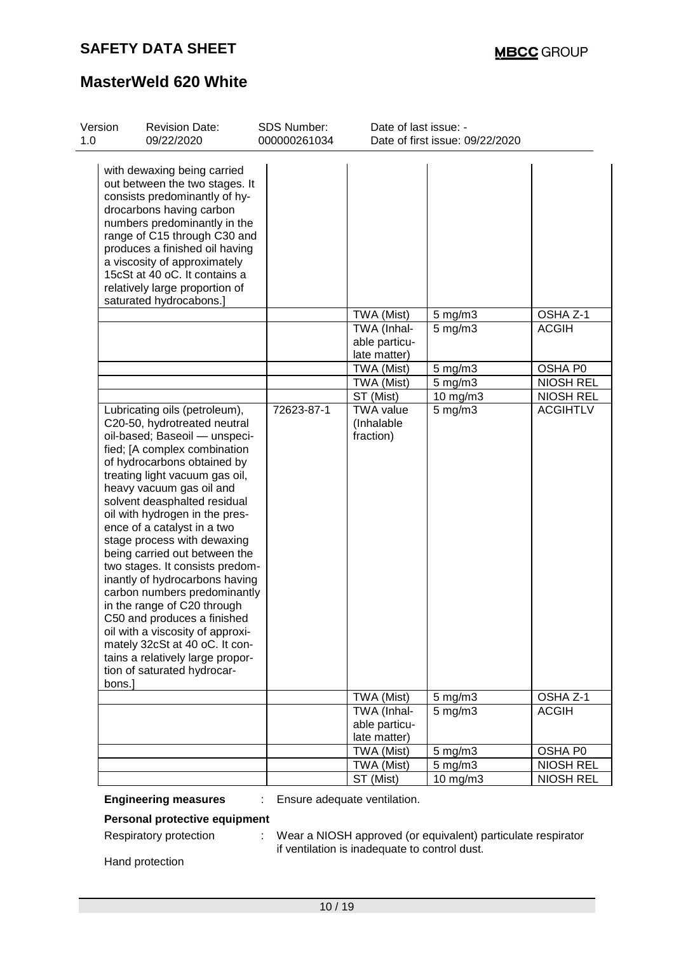| Version<br>1.0 | <b>Revision Date:</b><br>09/22/2020                                                                                                                                                                                                                                                                                                                                                                                                                                                                                                                                                                                                                                                        | <b>SDS Number:</b><br>000000261034 | Date of last issue: -                                                                                                                              | Date of first issue: 09/22/2020                                                     |                                                                                                |
|----------------|--------------------------------------------------------------------------------------------------------------------------------------------------------------------------------------------------------------------------------------------------------------------------------------------------------------------------------------------------------------------------------------------------------------------------------------------------------------------------------------------------------------------------------------------------------------------------------------------------------------------------------------------------------------------------------------------|------------------------------------|----------------------------------------------------------------------------------------------------------------------------------------------------|-------------------------------------------------------------------------------------|------------------------------------------------------------------------------------------------|
|                | with dewaxing being carried<br>out between the two stages. It<br>consists predominantly of hy-<br>drocarbons having carbon<br>numbers predominantly in the<br>range of C15 through C30 and<br>produces a finished oil having<br>a viscosity of approximately<br>15cSt at 40 oC. It contains a<br>relatively large proportion of<br>saturated hydrocabons.]<br>Lubricating oils (petroleum),<br>C20-50, hydrotreated neutral<br>oil-based; Baseoil - unspeci-<br>fied; [A complex combination<br>of hydrocarbons obtained by<br>treating light vacuum gas oil,<br>heavy vacuum gas oil and<br>solvent deasphalted residual<br>oil with hydrogen in the pres-<br>ence of a catalyst in a two | 72623-87-1                         | TWA (Mist)<br>TWA (Inhal-<br>able particu-<br>late matter)<br>TWA (Mist)<br>TWA (Mist)<br>ST (Mist)<br><b>TWA value</b><br>(Inhalable<br>fraction) | $5$ mg/m $3$<br>$5$ mg/m $3$<br>$5$ mg/m $3$<br>$5$ mg/m $3$<br>10 mg/m3<br>5 mg/m3 | OSHA Z-1<br><b>ACGIH</b><br>OSHA P0<br><b>NIOSH REL</b><br><b>NIOSH REL</b><br><b>ACGIHTLV</b> |
|                | stage process with dewaxing<br>being carried out between the<br>two stages. It consists predom-<br>inantly of hydrocarbons having<br>carbon numbers predominantly<br>in the range of C20 through<br>C50 and produces a finished<br>oil with a viscosity of approxi-<br>mately 32cSt at 40 oC. It con-<br>tains a relatively large propor-<br>tion of saturated hydrocar-<br>bons.]                                                                                                                                                                                                                                                                                                         |                                    |                                                                                                                                                    |                                                                                     |                                                                                                |
|                |                                                                                                                                                                                                                                                                                                                                                                                                                                                                                                                                                                                                                                                                                            |                                    | TWA (Mist)                                                                                                                                         | 5 mg/m3                                                                             | OSHA Z-1                                                                                       |
|                |                                                                                                                                                                                                                                                                                                                                                                                                                                                                                                                                                                                                                                                                                            |                                    | TWA (Inhal-<br>able particu-<br>late matter)                                                                                                       | $5$ mg/m $3$                                                                        | <b>ACGIH</b>                                                                                   |
|                |                                                                                                                                                                                                                                                                                                                                                                                                                                                                                                                                                                                                                                                                                            |                                    | TWA (Mist)                                                                                                                                         | $5$ mg/m $3$                                                                        | OSHA P0                                                                                        |
|                |                                                                                                                                                                                                                                                                                                                                                                                                                                                                                                                                                                                                                                                                                            |                                    | TWA (Mist)                                                                                                                                         | $5$ mg/m $3$                                                                        | <b>NIOSH REL</b>                                                                               |
|                |                                                                                                                                                                                                                                                                                                                                                                                                                                                                                                                                                                                                                                                                                            |                                    | ST (Mist)                                                                                                                                          | 10 mg/m3                                                                            | <b>NIOSH REL</b>                                                                               |

**Engineering measures** : Ensure adequate ventilation.

**Personal protective equipment**

Respiratory protection : Wear a NIOSH approved (or equivalent) particulate respirator if ventilation is inadequate to control dust.

Hand protection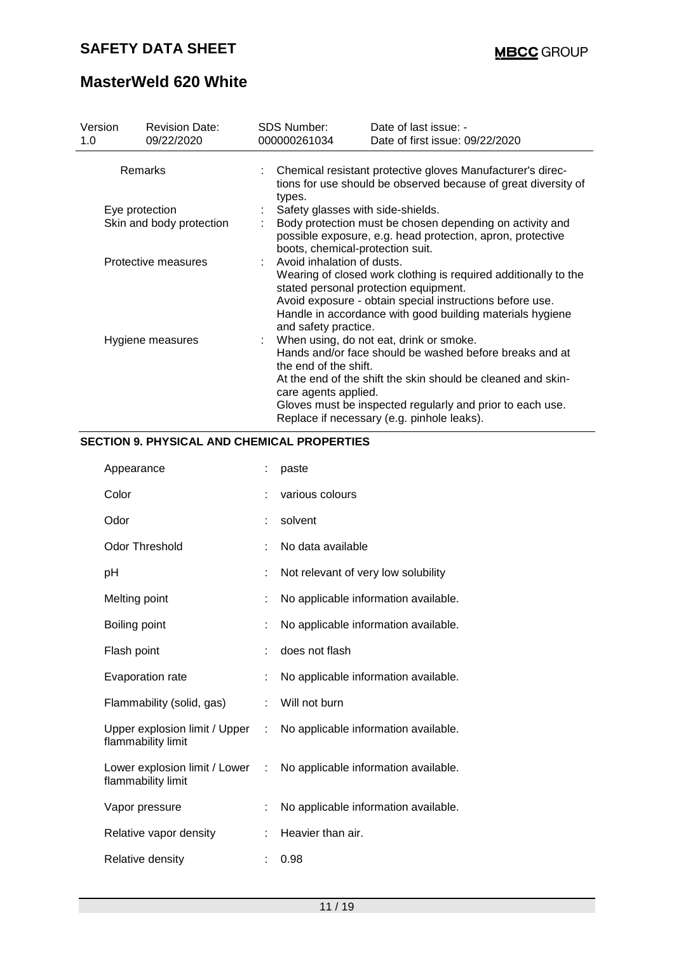# **MasterWeld 620 White**

| Version<br>1.0   | <b>Revision Date:</b><br>09/22/2020 | SDS Number:<br>000000261034                                                                                                                                                                                                                                                                                                    | Date of last issue: -<br>Date of first issue: 09/22/2020                                                                                                                                                                                                                                |  |  |  |  |
|------------------|-------------------------------------|--------------------------------------------------------------------------------------------------------------------------------------------------------------------------------------------------------------------------------------------------------------------------------------------------------------------------------|-----------------------------------------------------------------------------------------------------------------------------------------------------------------------------------------------------------------------------------------------------------------------------------------|--|--|--|--|
| Remarks          |                                     | : Chemical resistant protective gloves Manufacturer's direc-<br>tions for use should be observed because of great diversity of<br>types.                                                                                                                                                                                       |                                                                                                                                                                                                                                                                                         |  |  |  |  |
|                  | Eye protection                      |                                                                                                                                                                                                                                                                                                                                | Safety glasses with side-shields.                                                                                                                                                                                                                                                       |  |  |  |  |
|                  | Skin and body protection            |                                                                                                                                                                                                                                                                                                                                | Body protection must be chosen depending on activity and<br>possible exposure, e.g. head protection, apron, protective<br>boots, chemical-protection suit.                                                                                                                              |  |  |  |  |
|                  | Protective measures                 |                                                                                                                                                                                                                                                                                                                                | Avoid inhalation of dusts.<br>Wearing of closed work clothing is required additionally to the<br>stated personal protection equipment.<br>Avoid exposure - obtain special instructions before use.<br>Handle in accordance with good building materials hygiene<br>and safety practice. |  |  |  |  |
| Hygiene measures |                                     | When using, do not eat, drink or smoke.<br>Hands and/or face should be washed before breaks and at<br>the end of the shift.<br>At the end of the shift the skin should be cleaned and skin-<br>care agents applied.<br>Gloves must be inspected regularly and prior to each use.<br>Replace if necessary (e.g. pinhole leaks). |                                                                                                                                                                                                                                                                                         |  |  |  |  |

### **SECTION 9. PHYSICAL AND CHEMICAL PROPERTIES**

| Appearance                                            |                | paste                                |
|-------------------------------------------------------|----------------|--------------------------------------|
| Color                                                 |                | various colours                      |
| Odor                                                  | t.             | solvent                              |
| <b>Odor Threshold</b>                                 |                | No data available                    |
| рH                                                    |                | Not relevant of very low solubility  |
| Melting point                                         |                | No applicable information available. |
| Boiling point                                         |                | No applicable information available. |
| Flash point                                           | t              | does not flash                       |
| Evaporation rate                                      |                | No applicable information available. |
| Flammability (solid, gas)                             | t.             | Will not burn                        |
| Upper explosion limit / Upper :<br>flammability limit |                | No applicable information available. |
| Lower explosion limit / Lower<br>flammability limit   | $\mathbb{R}^n$ | No applicable information available. |
| Vapor pressure                                        | t              | No applicable information available. |
| Relative vapor density                                |                | Heavier than air.                    |
| Relative density                                      |                | 0.98                                 |
|                                                       |                |                                      |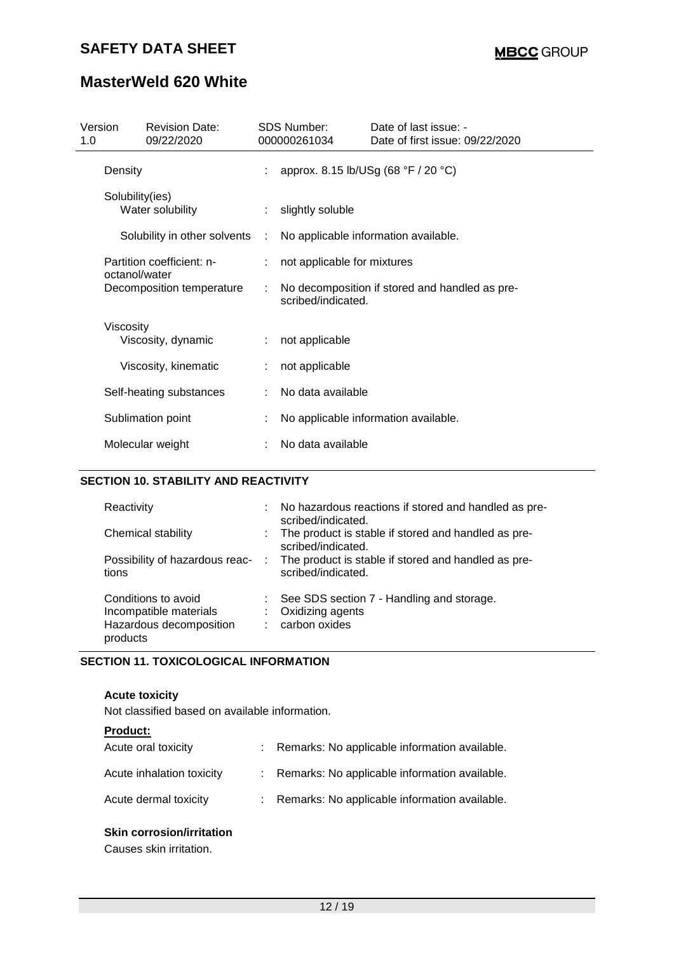# **MasterWeld 620 White**

| Version<br>1.0 |                                     | <b>Revision Date:</b><br>09/22/2020 |   | <b>SDS Number:</b><br>000000261034   | Date of last issue: -<br>Date of first issue: 09/22/2020 |  |  |  |
|----------------|-------------------------------------|-------------------------------------|---|--------------------------------------|----------------------------------------------------------|--|--|--|
|                | Density                             |                                     |   |                                      | approx. 8.15 lb/USg (68 °F / 20 °C)                      |  |  |  |
|                | Solubility(ies)<br>Water solubility |                                     |   | slightly soluble                     |                                                          |  |  |  |
|                | Solubility in other solvents        |                                     | ÷ | No applicable information available. |                                                          |  |  |  |
|                |                                     | Partition coefficient: n-           |   | not applicable for mixtures          |                                                          |  |  |  |
|                | octanol/water                       | Decomposition temperature           | ÷ | scribed/indicated.                   | No decomposition if stored and handled as pre-           |  |  |  |
|                | Viscosity                           | Viscosity, dynamic                  |   | not applicable                       |                                                          |  |  |  |
|                |                                     | Viscosity, kinematic                |   | not applicable                       |                                                          |  |  |  |
|                |                                     | Self-heating substances             |   | No data available                    |                                                          |  |  |  |
|                |                                     | Sublimation point                   |   |                                      | No applicable information available.                     |  |  |  |
|                |                                     | Molecular weight                    |   | No data available                    |                                                          |  |  |  |

#### **SECTION 10. STABILITY AND REACTIVITY**

| Reactivity<br>Chemical stability<br>Possibility of hazardous reac-                   | : No hazardous reactions if stored and handled as pre-<br>scribed/indicated.<br>: The product is stable if stored and handled as pre-<br>scribed/indicated.<br>: The product is stable if stored and handled as pre- |
|--------------------------------------------------------------------------------------|----------------------------------------------------------------------------------------------------------------------------------------------------------------------------------------------------------------------|
| tions                                                                                | scribed/indicated.                                                                                                                                                                                                   |
| Conditions to avoid<br>Incompatible materials<br>Hazardous decomposition<br>products | : See SDS section 7 - Handling and storage.<br>: Oxidizing agents<br>: carbon oxides                                                                                                                                 |

#### **SECTION 11. TOXICOLOGICAL INFORMATION**

#### **Acute toxicity**

Not classified based on available information.

| <b>Product:</b>           |                                                 |
|---------------------------|-------------------------------------------------|
| Acute oral toxicity       | Remarks: No applicable information available.   |
| Acute inhalation toxicity | : Remarks: No applicable information available. |
| Acute dermal toxicity     | : Remarks: No applicable information available. |
|                           |                                                 |

### **Skin corrosion/irritation**

Causes skin irritation.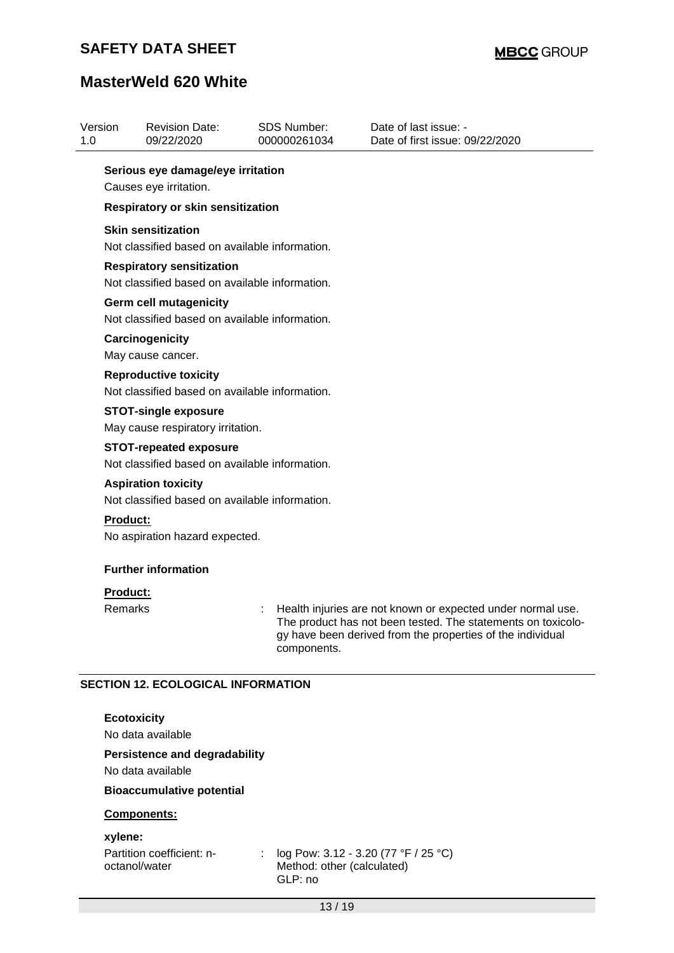| Version<br>1.0 |                          | <b>Revision Date:</b><br>09/22/2020                                                |   | <b>SDS Number:</b><br>000000261034    | Date of last issue: -<br>Date of first issue: 09/22/2020                                                                                                                                  |
|----------------|--------------------------|------------------------------------------------------------------------------------|---|---------------------------------------|-------------------------------------------------------------------------------------------------------------------------------------------------------------------------------------------|
|                |                          | Serious eye damage/eye irritation                                                  |   |                                       |                                                                                                                                                                                           |
|                |                          | Causes eye irritation.                                                             |   |                                       |                                                                                                                                                                                           |
|                |                          | Respiratory or skin sensitization                                                  |   |                                       |                                                                                                                                                                                           |
|                |                          | <b>Skin sensitization</b><br>Not classified based on available information.        |   |                                       |                                                                                                                                                                                           |
|                |                          | <b>Respiratory sensitization</b><br>Not classified based on available information. |   |                                       |                                                                                                                                                                                           |
|                |                          | <b>Germ cell mutagenicity</b><br>Not classified based on available information.    |   |                                       |                                                                                                                                                                                           |
|                |                          | Carcinogenicity<br>May cause cancer.                                               |   |                                       |                                                                                                                                                                                           |
|                |                          | <b>Reproductive toxicity</b><br>Not classified based on available information.     |   |                                       |                                                                                                                                                                                           |
|                |                          | <b>STOT-single exposure</b><br>May cause respiratory irritation.                   |   |                                       |                                                                                                                                                                                           |
|                |                          | <b>STOT-repeated exposure</b><br>Not classified based on available information.    |   |                                       |                                                                                                                                                                                           |
|                |                          | <b>Aspiration toxicity</b><br>Not classified based on available information.       |   |                                       |                                                                                                                                                                                           |
|                | <b>Product:</b>          |                                                                                    |   |                                       |                                                                                                                                                                                           |
|                |                          | No aspiration hazard expected.                                                     |   |                                       |                                                                                                                                                                                           |
|                |                          | <b>Further information</b>                                                         |   |                                       |                                                                                                                                                                                           |
|                | <b>Product:</b>          |                                                                                    |   |                                       |                                                                                                                                                                                           |
|                | Remarks                  |                                                                                    |   | components.                           | Health injuries are not known or expected under normal use.<br>The product has not been tested. The statements on toxicolo-<br>gy have been derived from the properties of the individual |
|                |                          | <b>SECTION 12. ECOLOGICAL INFORMATION</b>                                          |   |                                       |                                                                                                                                                                                           |
|                | <b>Ecotoxicity</b>       | No data available                                                                  |   |                                       |                                                                                                                                                                                           |
|                |                          | <b>Persistence and degradability</b><br>No data available                          |   |                                       |                                                                                                                                                                                           |
|                |                          | <b>Bioaccumulative potential</b>                                                   |   |                                       |                                                                                                                                                                                           |
|                |                          | Components:                                                                        |   |                                       |                                                                                                                                                                                           |
|                | xylene:<br>octanol/water | Partition coefficient: n-                                                          | ÷ | Method: other (calculated)<br>GLP: no | log Pow: 3.12 - 3.20 (77 °F / 25 °C)                                                                                                                                                      |
|                |                          |                                                                                    |   | 13/19                                 |                                                                                                                                                                                           |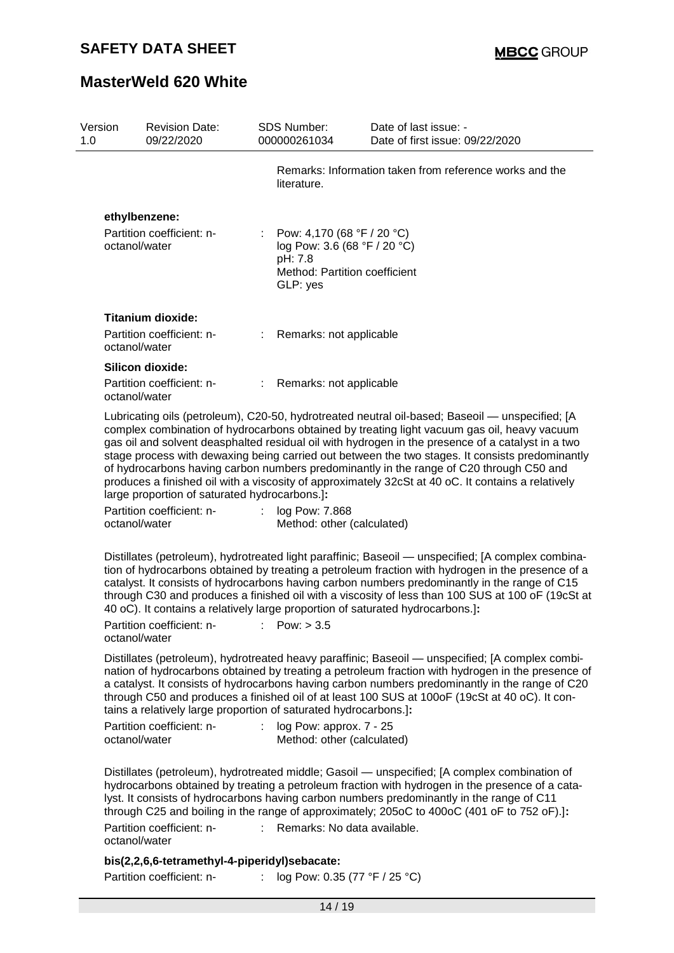| Version<br>1.0 |               | <b>Revision Date:</b><br>09/22/2020                                                           |    | <b>SDS Number:</b><br>000000261034                                                                                   | Date of last issue: -<br>Date of first issue: 09/22/2020                                                                                                                                                                                                                                                                                                                                                                                                                                                                                                                                                |
|----------------|---------------|-----------------------------------------------------------------------------------------------|----|----------------------------------------------------------------------------------------------------------------------|---------------------------------------------------------------------------------------------------------------------------------------------------------------------------------------------------------------------------------------------------------------------------------------------------------------------------------------------------------------------------------------------------------------------------------------------------------------------------------------------------------------------------------------------------------------------------------------------------------|
|                |               |                                                                                               |    | literature.                                                                                                          | Remarks: Information taken from reference works and the                                                                                                                                                                                                                                                                                                                                                                                                                                                                                                                                                 |
|                |               | ethylbenzene:                                                                                 |    |                                                                                                                      |                                                                                                                                                                                                                                                                                                                                                                                                                                                                                                                                                                                                         |
|                | octanol/water | Partition coefficient: n-                                                                     |    | : Pow: 4,170 (68 °F / 20 °C)<br>log Pow: 3.6 (68 °F / 20 °C)<br>pH: 7.8<br>Method: Partition coefficient<br>GLP: yes |                                                                                                                                                                                                                                                                                                                                                                                                                                                                                                                                                                                                         |
|                |               | <b>Titanium dioxide:</b>                                                                      |    |                                                                                                                      |                                                                                                                                                                                                                                                                                                                                                                                                                                                                                                                                                                                                         |
|                | octanol/water | Partition coefficient: n-                                                                     |    | Remarks: not applicable                                                                                              |                                                                                                                                                                                                                                                                                                                                                                                                                                                                                                                                                                                                         |
|                |               | Silicon dioxide:                                                                              |    |                                                                                                                      |                                                                                                                                                                                                                                                                                                                                                                                                                                                                                                                                                                                                         |
|                | octanol/water | Partition coefficient: n-                                                                     | ÷. | Remarks: not applicable                                                                                              |                                                                                                                                                                                                                                                                                                                                                                                                                                                                                                                                                                                                         |
|                | octanol/water | large proportion of saturated hydrocarbons.]:<br>Partition coefficient: n-                    | ÷  | log Pow: 7.868<br>Method: other (calculated)                                                                         | Lubricating oils (petroleum), C20-50, hydrotreated neutral oil-based; Baseoil — unspecified; [A<br>complex combination of hydrocarbons obtained by treating light vacuum gas oil, heavy vacuum<br>gas oil and solvent deasphalted residual oil with hydrogen in the presence of a catalyst in a two<br>stage process with dewaxing being carried out between the two stages. It consists predominantly<br>of hydrocarbons having carbon numbers predominantly in the range of C20 through C50 and<br>produces a finished oil with a viscosity of approximately 32cSt at 40 oC. It contains a relatively |
|                | octanol/water | Partition coefficient: n-                                                                     |    | Pow: $> 3.5$                                                                                                         | Distillates (petroleum), hydrotreated light paraffinic; Baseoil — unspecified; [A complex combina-<br>tion of hydrocarbons obtained by treating a petroleum fraction with hydrogen in the presence of a<br>catalyst. It consists of hydrocarbons having carbon numbers predominantly in the range of C15<br>through C30 and produces a finished oil with a viscosity of less than 100 SUS at 100 oF (19cSt at<br>40 oC). It contains a relatively large proportion of saturated hydrocarbons.]:                                                                                                         |
|                | octanol/water | tains a relatively large proportion of saturated hydrocarbons.]:<br>Partition coefficient: n- | ÷. | log Pow: approx. $7 - 25$<br>Method: other (calculated)                                                              | Distillates (petroleum), hydrotreated heavy paraffinic; Baseoil — unspecified; [A complex combi-<br>nation of hydrocarbons obtained by treating a petroleum fraction with hydrogen in the presence of<br>a catalyst. It consists of hydrocarbons having carbon numbers predominantly in the range of C20<br>through C50 and produces a finished oil of at least 100 SUS at 100oF (19cSt at 40 oC). It con-                                                                                                                                                                                              |
|                |               | Partition coefficient: n-                                                                     |    | : Remarks: No data available.                                                                                        | Distillates (petroleum), hydrotreated middle; Gasoil — unspecified; [A complex combination of<br>hydrocarbons obtained by treating a petroleum fraction with hydrogen in the presence of a cata-<br>lyst. It consists of hydrocarbons having carbon numbers predominantly in the range of C11<br>through C25 and boiling in the range of approximately; 205oC to 400oC (401 oF to 752 oF).]:                                                                                                                                                                                                            |
|                | octanol/water |                                                                                               |    |                                                                                                                      |                                                                                                                                                                                                                                                                                                                                                                                                                                                                                                                                                                                                         |

### **bis(2,2,6,6-tetramethyl-4-piperidyl)sebacate:**

Partition coefficient: n- : log Pow: 0.35 (77 °F / 25 °C)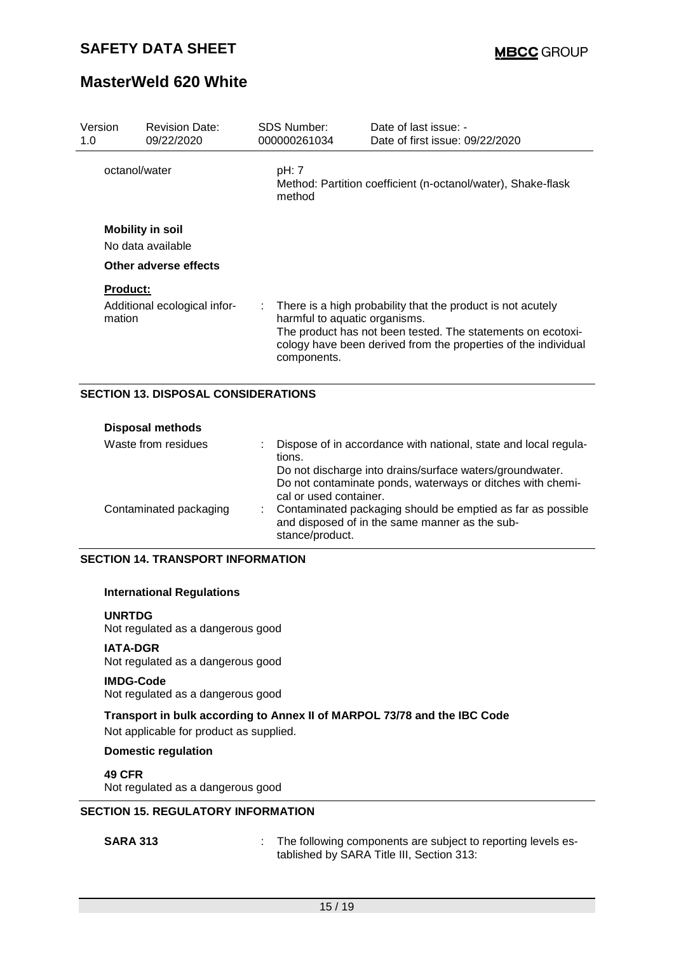| Version<br>1.0        | <b>Revision Date:</b><br>09/22/2020          |    | <b>SDS Number:</b><br>000000261034                                              | Date of last issue: -<br>Date of first issue: 09/22/2020                                                                                                                                     |  |
|-----------------------|----------------------------------------------|----|---------------------------------------------------------------------------------|----------------------------------------------------------------------------------------------------------------------------------------------------------------------------------------------|--|
| octanol/water         |                                              |    | pH: 7<br>Method: Partition coefficient (n-octanol/water), Shake-flask<br>method |                                                                                                                                                                                              |  |
|                       | <b>Mobility in soil</b><br>No data available |    |                                                                                 |                                                                                                                                                                                              |  |
| Other adverse effects |                                              |    |                                                                                 |                                                                                                                                                                                              |  |
| <b>Product:</b>       |                                              |    |                                                                                 |                                                                                                                                                                                              |  |
| mation                | Additional ecological infor-                 | ÷. | harmful to aquatic organisms.<br>components.                                    | There is a high probability that the product is not acutely<br>The product has not been tested. The statements on ecotoxi-<br>cology have been derived from the properties of the individual |  |

#### **SECTION 13. DISPOSAL CONSIDERATIONS**

| <b>Disposal methods</b> |                                                                                                                                                  |
|-------------------------|--------------------------------------------------------------------------------------------------------------------------------------------------|
| Waste from residues     | Dispose of in accordance with national, state and local regula-<br>tions.                                                                        |
|                         | Do not discharge into drains/surface waters/groundwater.<br>Do not contaminate ponds, waterways or ditches with chemi-<br>cal or used container. |
| Contaminated packaging  | Contaminated packaging should be emptied as far as possible<br>and disposed of in the same manner as the sub-<br>stance/product.                 |

#### **SECTION 14. TRANSPORT INFORMATION**

#### **International Regulations**

#### **UNRTDG**

Not regulated as a dangerous good

#### **IATA-DGR**

Not regulated as a dangerous good

#### **IMDG-Code**

Not regulated as a dangerous good

# **Transport in bulk according to Annex II of MARPOL 73/78 and the IBC Code**

Not applicable for product as supplied.

### **Domestic regulation**

#### **49 CFR**

Not regulated as a dangerous good

#### **SECTION 15. REGULATORY INFORMATION**

**SARA 313** : The following components are subject to reporting levels established by SARA Title III, Section 313: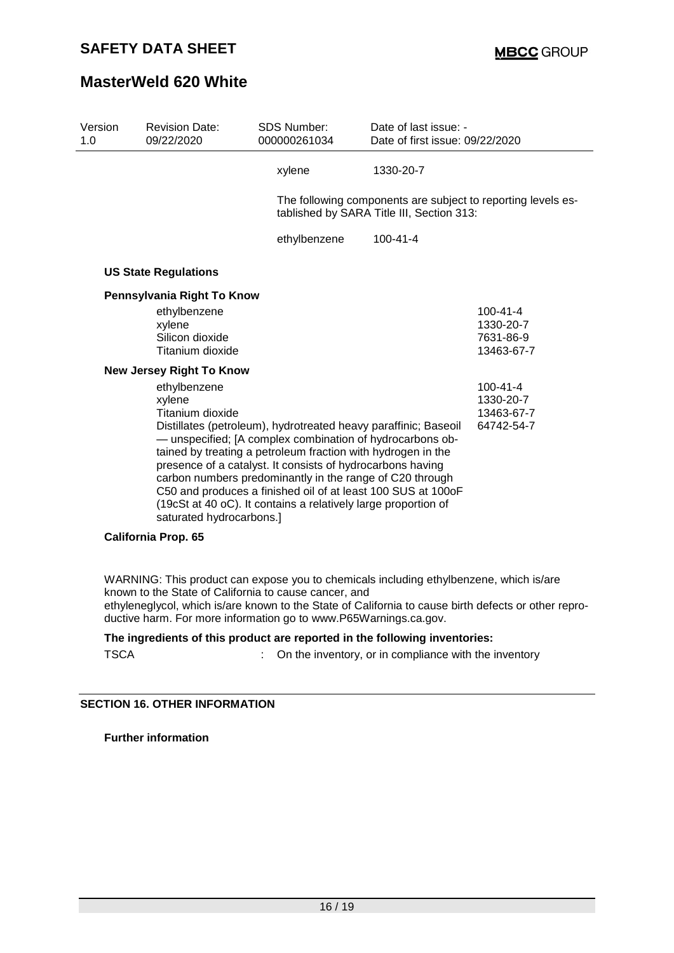| Version<br>1.0 | <b>Revision Date:</b><br>09/22/2020                                                                                                                                                                                                                                                                                                                                                                                                                                                                | <b>SDS Number:</b><br>000000261034 | Date of last issue: -<br>Date of first issue: 09/22/2020                                                  |                |  |
|----------------|----------------------------------------------------------------------------------------------------------------------------------------------------------------------------------------------------------------------------------------------------------------------------------------------------------------------------------------------------------------------------------------------------------------------------------------------------------------------------------------------------|------------------------------------|-----------------------------------------------------------------------------------------------------------|----------------|--|
|                |                                                                                                                                                                                                                                                                                                                                                                                                                                                                                                    | xylene                             | 1330-20-7                                                                                                 |                |  |
|                |                                                                                                                                                                                                                                                                                                                                                                                                                                                                                                    |                                    | The following components are subject to reporting levels es-<br>tablished by SARA Title III, Section 313: |                |  |
|                |                                                                                                                                                                                                                                                                                                                                                                                                                                                                                                    | ethylbenzene                       | $100 - 41 - 4$                                                                                            |                |  |
|                | <b>US State Regulations</b>                                                                                                                                                                                                                                                                                                                                                                                                                                                                        |                                    |                                                                                                           |                |  |
|                | Pennsylvania Right To Know                                                                                                                                                                                                                                                                                                                                                                                                                                                                         |                                    |                                                                                                           |                |  |
|                | ethylbenzene                                                                                                                                                                                                                                                                                                                                                                                                                                                                                       |                                    |                                                                                                           | $100 - 41 - 4$ |  |
|                | xylene                                                                                                                                                                                                                                                                                                                                                                                                                                                                                             |                                    |                                                                                                           | 1330-20-7      |  |
|                | Silicon dioxide                                                                                                                                                                                                                                                                                                                                                                                                                                                                                    |                                    |                                                                                                           | 7631-86-9      |  |
|                | Titanium dioxide                                                                                                                                                                                                                                                                                                                                                                                                                                                                                   |                                    |                                                                                                           | 13463-67-7     |  |
|                | <b>New Jersey Right To Know</b>                                                                                                                                                                                                                                                                                                                                                                                                                                                                    |                                    |                                                                                                           |                |  |
|                | ethylbenzene                                                                                                                                                                                                                                                                                                                                                                                                                                                                                       |                                    |                                                                                                           | $100 - 41 - 4$ |  |
|                | xylene                                                                                                                                                                                                                                                                                                                                                                                                                                                                                             |                                    |                                                                                                           | 1330-20-7      |  |
|                | Titanium dioxide                                                                                                                                                                                                                                                                                                                                                                                                                                                                                   |                                    |                                                                                                           | 13463-67-7     |  |
|                | Distillates (petroleum), hydrotreated heavy paraffinic; Baseoil<br>64742-54-7<br>- unspecified; [A complex combination of hydrocarbons ob-<br>tained by treating a petroleum fraction with hydrogen in the<br>presence of a catalyst. It consists of hydrocarbons having<br>carbon numbers predominantly in the range of C20 through<br>C50 and produces a finished oil of at least 100 SUS at 100oF<br>(19cSt at 40 oC). It contains a relatively large proportion of<br>saturated hydrocarbons.] |                                    |                                                                                                           |                |  |

#### **California Prop. 65**

WARNING: This product can expose you to chemicals including ethylbenzene, which is/are known to the State of California to cause cancer, and ethyleneglycol, which is/are known to the State of California to cause birth defects or other reproductive harm. For more information go to www.P65Warnings.ca.gov.

#### **The ingredients of this product are reported in the following inventories:**

| <b>TSCA</b> | On the inventory, or in compliance with the inventory |  |  |
|-------------|-------------------------------------------------------|--|--|
|             |                                                       |  |  |

#### **SECTION 16. OTHER INFORMATION**

**Further information**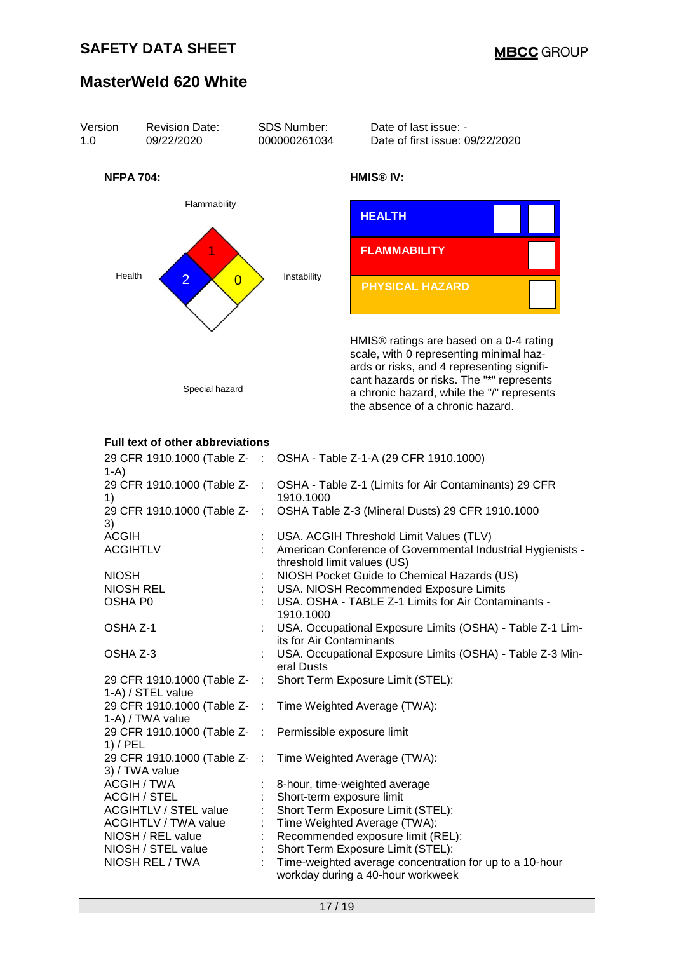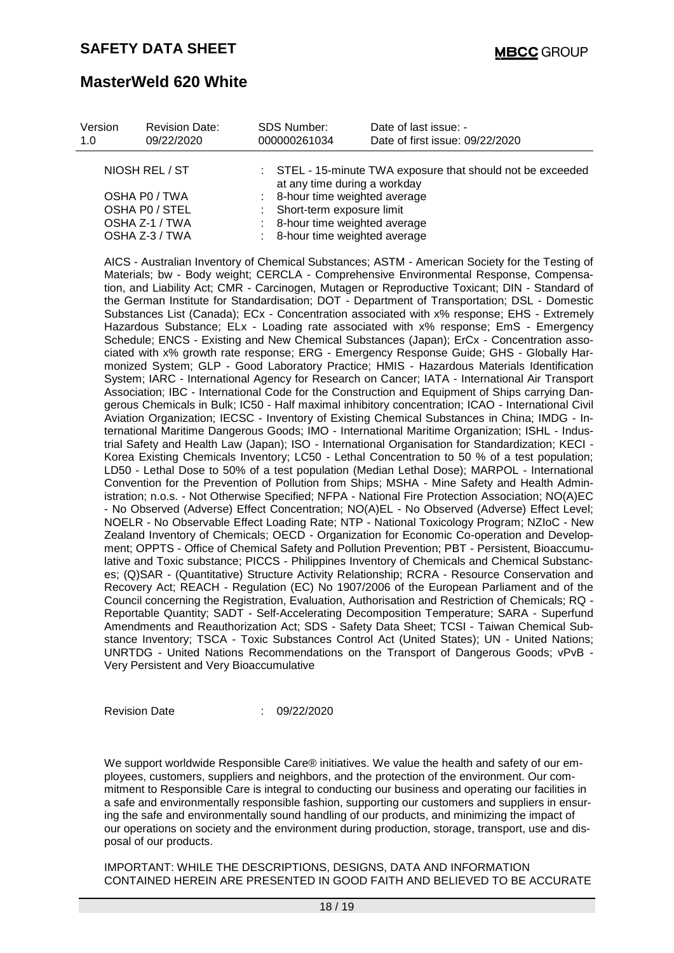| Version<br>1.0 | <b>Revision Date:</b><br>09/22/2020 | <b>SDS Number:</b><br>000000261034 | Date of last issue: -<br>Date of first issue: 09/22/2020    |  |
|----------------|-------------------------------------|------------------------------------|-------------------------------------------------------------|--|
|                | NIOSH REL / ST                      | at any time during a workday       | : STEL - 15-minute TWA exposure that should not be exceeded |  |
| OSHA PO / TWA  |                                     | : 8-hour time weighted average     |                                                             |  |
| OSHA PO / STEL |                                     | : Short-term exposure limit        |                                                             |  |
| OSHA Z-1 / TWA |                                     | 8-hour time weighted average       |                                                             |  |
| OSHA Z-3 / TWA |                                     | : 8-hour time weighted average     |                                                             |  |

AICS - Australian Inventory of Chemical Substances; ASTM - American Society for the Testing of Materials; bw - Body weight; CERCLA - Comprehensive Environmental Response, Compensation, and Liability Act; CMR - Carcinogen, Mutagen or Reproductive Toxicant; DIN - Standard of the German Institute for Standardisation; DOT - Department of Transportation; DSL - Domestic Substances List (Canada); ECx - Concentration associated with x% response; EHS - Extremely Hazardous Substance; ELx - Loading rate associated with x% response; EmS - Emergency Schedule; ENCS - Existing and New Chemical Substances (Japan); ErCx - Concentration associated with x% growth rate response; ERG - Emergency Response Guide; GHS - Globally Harmonized System; GLP - Good Laboratory Practice; HMIS - Hazardous Materials Identification System; IARC - International Agency for Research on Cancer; IATA - International Air Transport Association; IBC - International Code for the Construction and Equipment of Ships carrying Dangerous Chemicals in Bulk; IC50 - Half maximal inhibitory concentration; ICAO - International Civil Aviation Organization; IECSC - Inventory of Existing Chemical Substances in China; IMDG - International Maritime Dangerous Goods; IMO - International Maritime Organization; ISHL - Industrial Safety and Health Law (Japan); ISO - International Organisation for Standardization; KECI - Korea Existing Chemicals Inventory; LC50 - Lethal Concentration to 50 % of a test population; LD50 - Lethal Dose to 50% of a test population (Median Lethal Dose); MARPOL - International Convention for the Prevention of Pollution from Ships; MSHA - Mine Safety and Health Administration; n.o.s. - Not Otherwise Specified; NFPA - National Fire Protection Association; NO(A)EC - No Observed (Adverse) Effect Concentration; NO(A)EL - No Observed (Adverse) Effect Level; NOELR - No Observable Effect Loading Rate; NTP - National Toxicology Program; NZIoC - New Zealand Inventory of Chemicals; OECD - Organization for Economic Co-operation and Development; OPPTS - Office of Chemical Safety and Pollution Prevention; PBT - Persistent, Bioaccumulative and Toxic substance; PICCS - Philippines Inventory of Chemicals and Chemical Substances; (Q)SAR - (Quantitative) Structure Activity Relationship; RCRA - Resource Conservation and Recovery Act; REACH - Regulation (EC) No 1907/2006 of the European Parliament and of the Council concerning the Registration, Evaluation, Authorisation and Restriction of Chemicals; RQ - Reportable Quantity; SADT - Self-Accelerating Decomposition Temperature; SARA - Superfund Amendments and Reauthorization Act; SDS - Safety Data Sheet; TCSI - Taiwan Chemical Substance Inventory; TSCA - Toxic Substances Control Act (United States); UN - United Nations; UNRTDG - United Nations Recommendations on the Transport of Dangerous Goods; vPvB - Very Persistent and Very Bioaccumulative

Revision Date : 09/22/2020

We support worldwide Responsible Care® initiatives. We value the health and safety of our employees, customers, suppliers and neighbors, and the protection of the environment. Our commitment to Responsible Care is integral to conducting our business and operating our facilities in a safe and environmentally responsible fashion, supporting our customers and suppliers in ensuring the safe and environmentally sound handling of our products, and minimizing the impact of our operations on society and the environment during production, storage, transport, use and disposal of our products.

IMPORTANT: WHILE THE DESCRIPTIONS, DESIGNS, DATA AND INFORMATION CONTAINED HEREIN ARE PRESENTED IN GOOD FAITH AND BELIEVED TO BE ACCURATE